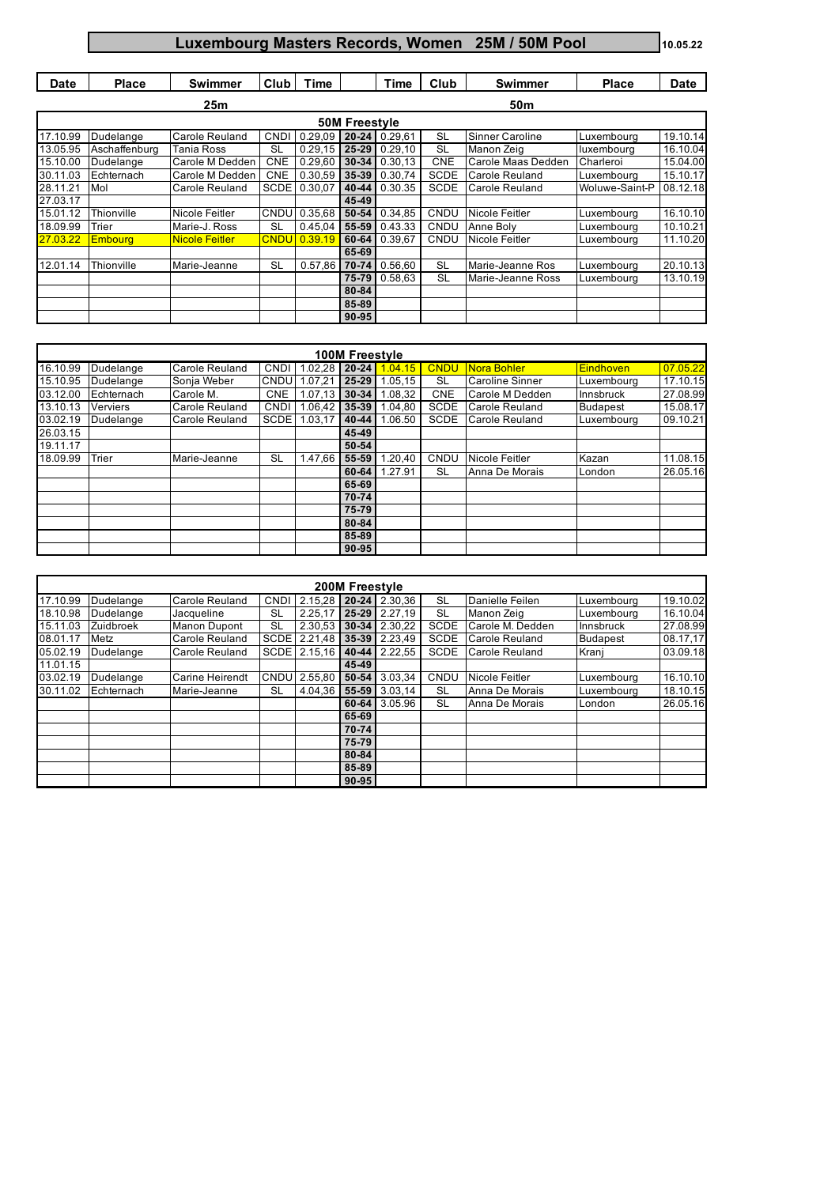# **Luxembourg Masters Records, Women 25M / 50M Pool**

| ו חו<br>05 |
|------------|
|------------|

| Club<br><b>Place</b><br><b>Date</b><br>Club<br>ïme<br><b>.</b><br>Swimmer<br>Swimmer<br>ïme | <b>Place</b><br>1.51<br>Dalu |
|---------------------------------------------------------------------------------------------|------------------------------|

|          |                | 25 <sub>m</sub> |             |                 |                      |               |             | 50m                    |                |          |
|----------|----------------|-----------------|-------------|-----------------|----------------------|---------------|-------------|------------------------|----------------|----------|
|          |                |                 |             |                 | <b>50M Freestyle</b> |               |             |                        |                |          |
| 17.10.99 | Dudelange      | Carole Reuland  | <b>CNDI</b> | 0.29.09         |                      | 20-24 0.29.61 | <b>SL</b>   | <b>Sinner Caroline</b> | Luxembourg     | 19.10.14 |
| 13.05.95 | Aschaffenburg  | Tania Ross      | <b>SL</b>   | $0.29.15$ 25-29 |                      | 0.29.10       | SL          | Manon Zeig             | luxembourg     | 16.10.04 |
| 15.10.00 | Dudelange      | Carole M Dedden | <b>CNE</b>  | 0.29.60         | $30 - 34$            | 0.30.13       | <b>CNE</b>  | Carole Maas Dedden     | Charleroi      | 15.04.00 |
| 30.11.03 | Echternach     | Carole M Dedden | <b>CNE</b>  | 0.30.59         | $35-39$              | 0.30.74       | <b>SCDE</b> | Carole Reuland         | Luxembourg     | 15.10.17 |
| 28.11.21 | Mol            | Carole Reuland  | <b>SCDE</b> | 0.30.07         | $40 - 44$            | 0.30.35       | SCDE        | Carole Reuland         | Woluwe-Saint-P | 08.12.18 |
| 27.03.17 |                |                 |             |                 | 45-49                |               |             |                        |                |          |
| 15.01.12 | Thionville     | Nicole Feitler  | <b>CNDU</b> | 0.35.68         | $50 - 54$            | 0.34.85       | <b>CNDU</b> | Nicole Feitler         | Luxembourg     | 16.10.10 |
| 18.09.99 | Trier          | Marie-J. Ross   | SL          | 0.45.04         | $55 - 59$            | 0.43.33       | <b>CNDU</b> | Anne Bolv              | Luxembourg     | 10.10.21 |
| 27.03.22 | <b>Embourg</b> | Nicole Feitler  | <b>CNDU</b> | 0.39.19         | $60 - 64$            | 0.39.67       | CNDU        | Nicole Feitler         | Luxembourg     | 11.10.20 |
|          |                |                 |             |                 | 65-69                |               |             |                        |                |          |
| 12.01.14 | Thionville     | Marie-Jeanne    | SL          | 0.57.86         | $70 - 74$            | 0.56.60       | SL          | Marie-Jeanne Ros       | Luxembourg     | 20.10.13 |
|          |                |                 |             |                 | 75-79                | 0.58.63       | <b>SL</b>   | Marie-Jeanne Ross      | Luxembourg     | 13.10.19 |
|          |                |                 |             |                 | $80 - 84$            |               |             |                        |                |          |
|          |                |                 |             |                 | 85-89                |               |             |                        |                |          |
|          |                |                 |             |                 | $90 - 95$            |               |             |                        |                |          |

|          |                 |                       |             |         | 100M Freestyle |         |             |                       |                 |          |
|----------|-----------------|-----------------------|-------------|---------|----------------|---------|-------------|-----------------------|-----------------|----------|
| 16.10.99 | Dudelange       | <b>Carole Reuland</b> | <b>CND</b>  | .02.28  | $20 - 24$      | 1.04.15 | <b>CNDU</b> | Nora Bohler           | Eindhoven       | 07.05.22 |
| 15.10.95 | Dudelange       | Sonja Weber           | CNDU        | 1.07.21 | $25 - 29$      | 1.05.15 | SL          | Caroline Sinner       | Luxemboura      | 17.10.15 |
| 03.12.00 | Echternach      | Carole M.             | <b>CNE</b>  | 1.07.13 | $30 - 34$      | 1.08.32 | <b>CNE</b>  | Carole M Dedden       | Innsbruck       | 27.08.99 |
| 13.10.13 | <b>Verviers</b> | <b>Carole Reuland</b> | CNDI        | .06.42  | $35 - 39$      | 1.04.80 | <b>SCDE</b> | <b>Carole Reuland</b> | <b>Budapest</b> | 15.08.17 |
| 03.02.19 | Dudelange       | Carole Reuland        | <b>SCDE</b> | 1.03.17 | $40 - 44$      | 1.06.50 | <b>SCDE</b> | Carole Reuland        | Luxembourg      | 09.10.21 |
| 26.03.15 |                 |                       |             |         | 45-49          |         |             |                       |                 |          |
| 19.11.17 |                 |                       |             |         | $50 - 54$      |         |             |                       |                 |          |
| 18.09.99 | Trier           | Marie-Jeanne          | SL          | .47.66  | 55-59          | 1.20.40 | <b>CNDU</b> | Nicole Feitler        | Kazan           | 11.08.15 |
|          |                 |                       |             |         | 60-64          | 1.27.91 | <b>SL</b>   | Anna De Morais        | London          | 26.05.16 |
|          |                 |                       |             |         | 65-69          |         |             |                       |                 |          |
|          |                 |                       |             |         | 70-74          |         |             |                       |                 |          |
|          |                 |                       |             |         | 75-79          |         |             |                       |                 |          |
|          |                 |                       |             |         | 80-84          |         |             |                       |                 |          |
|          |                 |                       |             |         | 85-89          |         |             |                       |                 |          |
|          |                 |                       |             |         | $90 - 95$      |         |             |                       |                 |          |

|          |            |                     |             |         | <b>200M Freestyle</b> |               |             |                  |                 |          |
|----------|------------|---------------------|-------------|---------|-----------------------|---------------|-------------|------------------|-----------------|----------|
| 17.10.99 | Dudelange  | Carole Reuland      | <b>CND</b>  | 2.15.28 |                       | 20-24 2.30.36 | SL          | Danielle Feilen  | Luxembourg      | 19.10.02 |
| 18.10.98 | Dudelange  | Jacqueline          | SL          | 2.25.17 |                       | 25-29 2.27.19 | SL          | Manon Zeig       | Luxembourg      | 16.10.04 |
| 15.11.03 | Zuidbroek  | <b>Manon Dupont</b> | <b>SL</b>   | 2.30,53 |                       | 30-34 2.30,22 | <b>SCDE</b> | Carole M. Dedden | Innsbruck       | 27.08.99 |
| 08.01.17 | Metz       | Carole Reuland      | <b>SCDE</b> | 2.21.48 | $35-39$               | 2.23.49       | <b>SCDE</b> | Carole Reuland   | <b>Budapest</b> | 08.17,17 |
| 05.02.19 | Dudelange  | Carole Reuland      | <b>SCDE</b> | 2.15.16 | $40 - 44$             | 2.22.55       | <b>SCDE</b> | Carole Reuland   | Kranj           | 03.09.18 |
| 11.01.15 |            |                     |             |         | 45-49                 |               |             |                  |                 |          |
| 03.02.19 | Dudelange  | Carine Heirendt     | <b>CNDU</b> | 2.55.80 | $50 - 54$             | 3.03.34       | <b>CNDU</b> | Nicole Feitler   | Luxembourg      | 16.10.10 |
| 30.11.02 | Echternach | Marie-Jeanne        | <b>SL</b>   | 4.04.36 | 55-59                 | 3.03.14       | SL          | Anna De Morais   | Luxembourg      | 18.10.15 |
|          |            |                     |             |         | $60 - 64$             | 3.05.96       | <b>SL</b>   | Anna De Morais   | London          | 26.05.16 |
|          |            |                     |             |         | 65-69                 |               |             |                  |                 |          |
|          |            |                     |             |         | 70-74                 |               |             |                  |                 |          |
|          |            |                     |             |         | 75-79                 |               |             |                  |                 |          |
|          |            |                     |             |         | $80 - 84$             |               |             |                  |                 |          |
|          |            |                     |             |         | $85 - 89$             |               |             |                  |                 |          |
|          |            |                     |             |         | $90 - 95$             |               |             |                  |                 |          |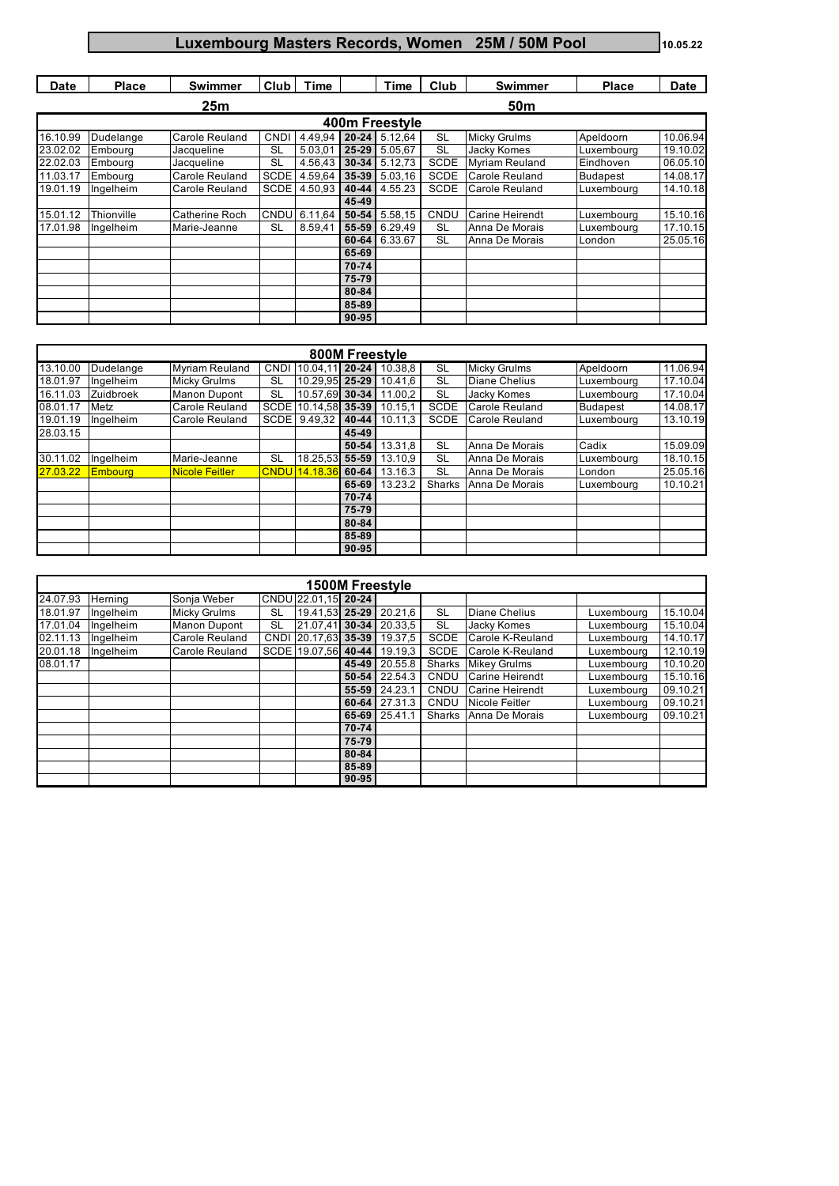# **Luxembourg Masters Records, Women 25M / 50M Pool**

| <b>Date</b> | <b>Place</b> | Swimmer | <b>Club</b> | ime | . ime | Club | <b>Swimmer</b> | Place | .127<br>υαιι |
|-------------|--------------|---------|-------------|-----|-------|------|----------------|-------|--------------|
|             |              |         |             |     |       |      |                |       |              |

|          |            | 25 <sub>m</sub> |             |                 |           | 50 <sub>m</sub>       |             |                     |                 |          |  |  |  |
|----------|------------|-----------------|-------------|-----------------|-----------|-----------------------|-------------|---------------------|-----------------|----------|--|--|--|
|          |            |                 |             |                 |           | 400m Freestyle        |             |                     |                 |          |  |  |  |
| 16.10.99 | Dudelange  | Carole Reuland  | <b>CNDI</b> |                 |           | 4.49.94 20-24 5.12.64 | SL          | <b>Micky Grulms</b> | Apeldoorn       | 10.06.94 |  |  |  |
| 23.02.02 | Embourg    | Jacqueline      | <b>SL</b>   | 5.03.01         | 25-29     | 5.05.67               | SL          | Jacky Komes         | Luxembourg      | 19.10.02 |  |  |  |
| 22.02.03 | Embourg    | Jacqueline      | <b>SL</b>   | 4.56.43 30-34   |           | 5.12.73               | <b>SCDE</b> | Myriam Reuland      | Eindhoven       | 06.05.10 |  |  |  |
| 11.03.17 | Embourg    | Carole Reuland  | <b>SCDE</b> | 4.59,64 35-39   |           | 5.03.16               | <b>SCDE</b> | Carole Reuland      | <b>Budapest</b> | 14.08.17 |  |  |  |
| 19.01.19 | Ingelheim  | Carole Reuland  | <b>SCDE</b> | $4.50.93$ 40-44 |           | 4.55.23               | <b>SCDE</b> | Carole Reuland      | Luxembourg      | 14.10.18 |  |  |  |
|          |            |                 |             |                 | 45-49     |                       |             |                     |                 |          |  |  |  |
| 15.01.12 | Thionville | Catherine Roch  | CNDU        | 6.11.64         | $50 - 54$ | 5.58.15               | CNDU        | Carine Heirendt     | Luxembourg      | 15.10.16 |  |  |  |
| 17.01.98 | Ingelheim  | Marie-Jeanne    | <b>SL</b>   | 8.59.41         | $55 - 59$ | 6.29.49               | SL          | Anna De Morais      | Luxembourg      | 17.10.15 |  |  |  |
|          |            |                 |             |                 | $60 - 64$ | 6.33.67               | SL          | Anna De Morais      | London          | 25.05.16 |  |  |  |
|          |            |                 |             |                 | 65-69     |                       |             |                     |                 |          |  |  |  |
|          |            |                 |             |                 | 70-74     |                       |             |                     |                 |          |  |  |  |
|          |            |                 |             |                 | 75-79     |                       |             |                     |                 |          |  |  |  |
|          |            |                 |             |                 | 80-84     |                       |             |                     |                 |          |  |  |  |
|          |            |                 |             |                 | 85-89     |                       |             |                     |                 |          |  |  |  |
|          |            |                 |             |                 | $90 - 95$ |                       |             |                     |                 |          |  |  |  |

|          | 800M Freestyle |                       |             |                |           |         |             |                     |                 |          |  |  |
|----------|----------------|-----------------------|-------------|----------------|-----------|---------|-------------|---------------------|-----------------|----------|--|--|
| 13.10.00 | Dudelange      | <b>Myriam Reuland</b> | CNDI        | 10.04.11 20-24 |           | 10.38.8 | SL          | <b>Micky Grulms</b> | Apeldoorn       | 11.06.94 |  |  |
| 18.01.97 | Ingelheim      | <b>Micky Grulms</b>   | SL          | 10.29.95 25-29 |           | 10.41.6 | SL          | Diane Chelius       | Luxemboura      | 17.10.04 |  |  |
| 16.11.03 | Zuidbroek      | <b>Manon Dupont</b>   | <b>SL</b>   | 10.57.69 30-34 |           | 11.00.2 | SL          | Jacky Komes         | Luxembourg      | 17.10.04 |  |  |
| 08.01.17 | Metz           | Carole Reuland        | <b>SCDE</b> | 10.14.58 35-39 |           | 10.15.1 | <b>SCDE</b> | Carole Reuland      | <b>Budapest</b> | 14.08.17 |  |  |
| 19.01.19 | Ingelheim      | Carole Reuland        | <b>SCDE</b> | 9.49.32        | $40 - 44$ | 10.11.3 | <b>SCDE</b> | Carole Reuland      | Luxembourg      | 13.10.19 |  |  |
| 28.03.15 |                |                       |             |                | $45 - 49$ |         |             |                     |                 |          |  |  |
|          |                |                       |             |                | $50 - 54$ | 13.31.8 | SL          | Anna De Morais      | Cadix           | 15.09.09 |  |  |
| 30.11.02 | Ingelheim      | Marie-Jeanne          | <b>SL</b>   | 18.25.53 55-59 |           | 13.10.9 | SL          | Anna De Morais      | Luxembourg      | 18.10.15 |  |  |
| 27.03.22 | <b>Embourg</b> | <b>Nicole Feitler</b> | <b>CNDU</b> | 14.18.36       | $60 - 64$ | 13.16.3 | SL          | Anna De Morais      | London          | 25.05.16 |  |  |
|          |                |                       |             |                | 65-69     | 13.23.2 | Sharks      | Anna De Morais      | Luxembourg      | 10.10.21 |  |  |
|          |                |                       |             |                | 70-74     |         |             |                     |                 |          |  |  |
|          |                |                       |             |                | 75-79     |         |             |                     |                 |          |  |  |
|          |                |                       |             |                | 80-84     |         |             |                     |                 |          |  |  |
|          |                |                       |             |                | 85-89     |         |             |                     |                 |          |  |  |
|          |                |                       |             |                | $90 - 95$ |         |             |                     |                 |          |  |  |

|          | 1500M Freestyle |                     |             |                        |           |               |             |                        |            |          |  |
|----------|-----------------|---------------------|-------------|------------------------|-----------|---------------|-------------|------------------------|------------|----------|--|
| 24.07.93 | Herning         | Sonja Weber         |             | CNDU 22.01.15 20-24    |           |               |             |                        |            |          |  |
| 18.01.97 | Ingelheim       | <b>Micky Grulms</b> | <b>SL</b>   | 19.41,53 25-29 20.21,6 |           |               | <b>SL</b>   | <b>Diane Chelius</b>   | Luxembourg | 15.10.04 |  |
| 17.01.04 | Ingelheim       | Manon Dupont        | <b>SL</b>   | 21.07.41 30-34 20.33.5 |           |               | <b>SL</b>   | Jacky Komes            | Luxembourg | 15.10.04 |  |
| 02.11.13 | Ingelheim       | Carole Reuland      | <b>CNDI</b> | 20.17.63 35-39 19.37.5 |           |               | <b>SCDE</b> | Carole K-Reuland       | Luxembourg | 14.10.17 |  |
| 20.01.18 | Ingelheim       | Carole Reuland      | <b>SCDE</b> | 19.07.56 40-44         |           | 19.19,3       | <b>SCDE</b> | Carole K-Reuland       | Luxembourg | 12.10.19 |  |
| 08.01.17 |                 |                     |             |                        | $45 - 49$ | 20.55.8       | Sharks      | <b>Mikey Grulms</b>    | Luxembourg | 10.10.20 |  |
|          |                 |                     |             |                        |           | 50-54 22.54.3 | CNDU        | <b>Carine Heirendt</b> | Luxembourg | 15.10.16 |  |
|          |                 |                     |             |                        | $55 - 59$ | 24.23.1       | CNDU        | <b>Carine Heirendt</b> | Luxembourg | 09.10.21 |  |
|          |                 |                     |             |                        |           | 60-64 27.31.3 | CNDU        | Nicole Feitler         | Luxemboura | 09.10.21 |  |
|          |                 |                     |             |                        |           | 65-69 25.41.1 | Sharks      | Anna De Morais         | Luxemboura | 09.10.21 |  |
|          |                 |                     |             |                        | 70-74     |               |             |                        |            |          |  |
|          |                 |                     |             |                        | 75-79     |               |             |                        |            |          |  |
|          |                 |                     |             |                        | 80-84     |               |             |                        |            |          |  |
|          |                 |                     |             |                        | 85-89     |               |             |                        |            |          |  |
|          |                 |                     |             |                        | $90 - 95$ |               |             |                        |            |          |  |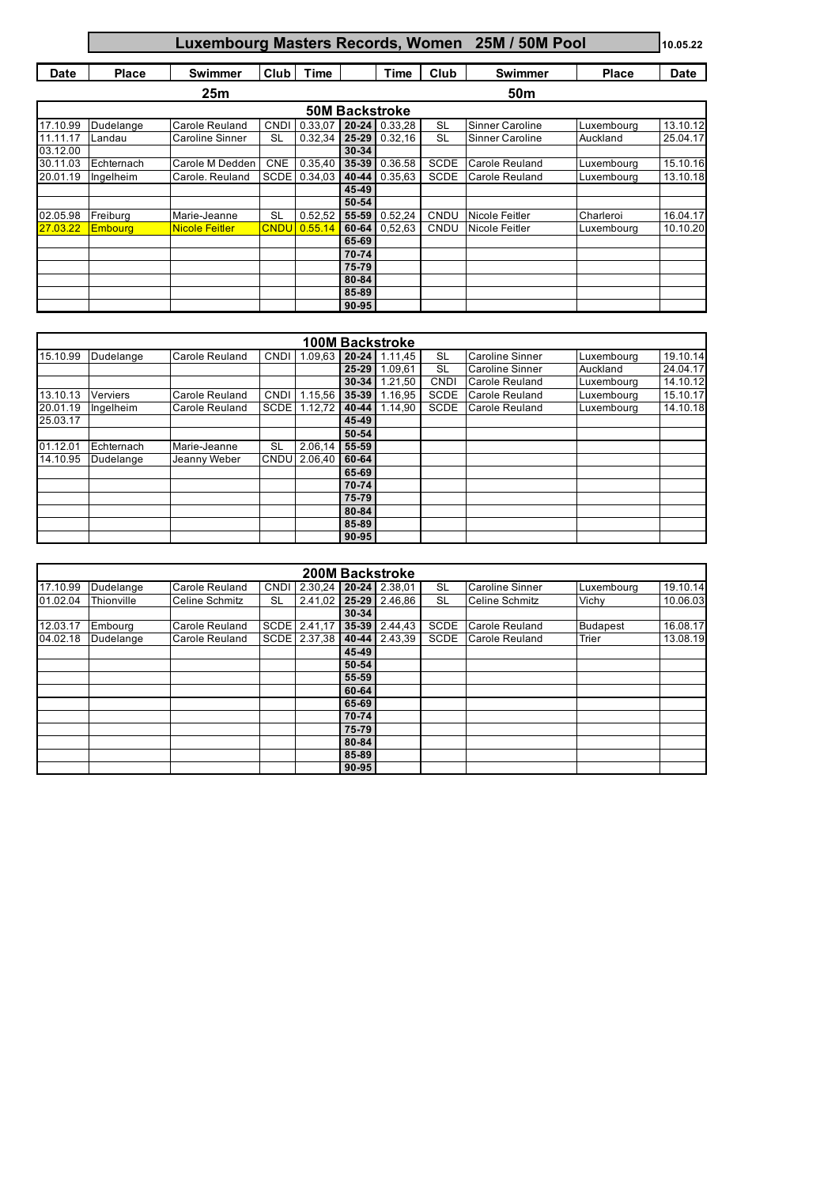#### **10.05.22 Luxembourg Masters Records, Women 25M / 50M Pool**

**Date Place Swimmer Club Time Time Club Swimmer Place Date**

|          |            | 25m             |             |                 |           | 50 <sub>m</sub>       |             |                        |            |          |  |  |  |  |
|----------|------------|-----------------|-------------|-----------------|-----------|-----------------------|-------------|------------------------|------------|----------|--|--|--|--|
|          |            |                 |             |                 |           | <b>50M Backstroke</b> |             |                        |            |          |  |  |  |  |
| 17.10.99 | Dudelange  | Carole Reuland  | <b>CNDI</b> | $0.33.07$ 20-24 |           | 0.33.28               | SL          | <b>Sinner Caroline</b> | Luxembourg | 13.10.12 |  |  |  |  |
| 11.11.17 | Landau     | Caroline Sinner | <b>SL</b>   | $0.32.34$ 25-29 |           | 0.32.16               | SL          | Sinner Caroline        | Auckland   | 25.04.17 |  |  |  |  |
| 03.12.00 |            |                 |             |                 | $30 - 34$ |                       |             |                        |            |          |  |  |  |  |
| 30.11.03 | Echternach | Carole M Dedden | <b>CNE</b>  | $0.35.40$ 35-39 |           | 0.36.58               | <b>SCDE</b> | Carole Reuland         | Luxembourg | 15.10.16 |  |  |  |  |
| 20.01.19 | Ingelheim  | Carole, Reuland |             | SCDE 0.34.03    | $40 - 44$ | 0.35.63               | <b>SCDE</b> | Carole Reuland         | Luxembourg | 13.10.18 |  |  |  |  |
|          |            |                 |             |                 | 45-49     |                       |             |                        |            |          |  |  |  |  |
|          |            |                 |             |                 | $50 - 54$ |                       |             |                        |            |          |  |  |  |  |
| 02.05.98 | Freiburg   | Marie-Jeanne    | <b>SL</b>   | 0.52,52         | $55 - 59$ | 0.52,24               | <b>CNDU</b> | Nicole Feitler         | Charleroi  | 16.04.17 |  |  |  |  |
| 27.03.22 | Embourg    | Nicole Feitler  | <b>CNDU</b> | 0.55.14         | 60-64     | 0.52.63               | <b>CNDU</b> | Nicole Feitler         | Luxembourg | 10.10.20 |  |  |  |  |
|          |            |                 |             |                 | 65-69     |                       |             |                        |            |          |  |  |  |  |
|          |            |                 |             |                 | 70-74     |                       |             |                        |            |          |  |  |  |  |
|          |            |                 |             |                 | 75-79     |                       |             |                        |            |          |  |  |  |  |
|          |            |                 |             |                 | 80-84     |                       |             |                        |            |          |  |  |  |  |
|          |            |                 |             |                 | 85-89     |                       |             |                        |            |          |  |  |  |  |
|          |            |                 |             |                 | 90-95     |                       |             |                        |            |          |  |  |  |  |

|          |            |                       |             |         |           | <b>100M Backstroke</b> |             |                        |            |          |
|----------|------------|-----------------------|-------------|---------|-----------|------------------------|-------------|------------------------|------------|----------|
| 15.10.99 | Dudelange  | Carole Reuland        | <b>CNDI</b> | 1.09.63 |           | 20-24 1.11.45          | SL          | <b>Caroline Sinner</b> | Luxembourg | 19.10.14 |
|          |            |                       |             |         | $25 - 29$ | 1.09.61                | SL          | Caroline Sinner        | Auckland   | 24.04.17 |
|          |            |                       |             |         | $30 - 34$ | 1.21,50                | <b>CNDI</b> | Carole Reuland         | Luxembourg | 14.10.12 |
| 13.10.13 | Verviers   | Carole Reuland        | CNDI        | 1.15,56 | $35-39$   | 1.16.95                | <b>SCDE</b> | Carole Reuland         | Luxembourg | 15.10.17 |
| 20.01.19 | Ingelheim  | <b>Carole Reuland</b> | <b>SCDE</b> | 1.12.72 | $40 - 44$ | 1.14.90                | <b>SCDE</b> | <b>Carole Reuland</b>  | Luxembourg | 14.10.18 |
| 25.03.17 |            |                       |             |         | 45-49     |                        |             |                        |            |          |
|          |            |                       |             |         | $50 - 54$ |                        |             |                        |            |          |
| 01.12.01 | Echternach | Marie-Jeanne          | <b>SL</b>   | 2.06,14 | 55-59     |                        |             |                        |            |          |
| 14.10.95 | Dudelange  | Jeanny Weber          | CNDU        | 2.06.40 | 60-64     |                        |             |                        |            |          |
|          |            |                       |             |         | 65-69     |                        |             |                        |            |          |
|          |            |                       |             |         | 70-74     |                        |             |                        |            |          |
|          |            |                       |             |         | 75-79     |                        |             |                        |            |          |
|          |            |                       |             |         | 80-84     |                        |             |                        |            |          |
|          |            |                       |             |         | 85-89     |                        |             |                        |            |          |
|          |            |                       |             |         | $90 - 95$ |                        |             |                        |            |          |

|          |            |                       |             |         |           | <b>200M Backstroke</b> |             |                        |                 |          |
|----------|------------|-----------------------|-------------|---------|-----------|------------------------|-------------|------------------------|-----------------|----------|
| 17.10.99 | Dudelange  | Carole Reuland        | <b>CND</b>  |         |           | 2.30.24 20-24 2.38.01  | <b>SL</b>   | <b>Caroline Sinner</b> | Luxembourg      | 19.10.14 |
| 01.02.04 | Thionville | <b>Celine Schmitz</b> | <b>SL</b>   |         |           | 2.41.02 25-29 2.46.86  | SL          | <b>Celine Schmitz</b>  | Vichy           | 10.06.03 |
|          |            |                       |             |         | $30 - 34$ |                        |             |                        |                 |          |
| 12.03.17 | Embourg    | Carole Reuland        | <b>SCDE</b> | 2.41.17 |           | 35-39 2.44,43          | <b>SCDE</b> | Carole Reuland         | <b>Budapest</b> | 16.08.17 |
| 04.02.18 | Dudelange  | Carole Reuland        | <b>SCDE</b> | 2.37.38 |           | 40-44 2.43.39          | <b>SCDE</b> | <b>Carole Reuland</b>  | Trier           | 13.08.19 |
|          |            |                       |             |         | 45-49     |                        |             |                        |                 |          |
|          |            |                       |             |         | 50-54     |                        |             |                        |                 |          |
|          |            |                       |             |         | 55-59     |                        |             |                        |                 |          |
|          |            |                       |             |         | 60-64     |                        |             |                        |                 |          |
|          |            |                       |             |         | 65-69     |                        |             |                        |                 |          |
|          |            |                       |             |         | 70-74     |                        |             |                        |                 |          |
|          |            |                       |             |         | 75-79     |                        |             |                        |                 |          |
|          |            |                       |             |         | 80-84     |                        |             |                        |                 |          |
|          |            |                       |             |         | 85-89     |                        |             |                        |                 |          |
|          |            |                       |             |         | $90 - 95$ |                        |             |                        |                 |          |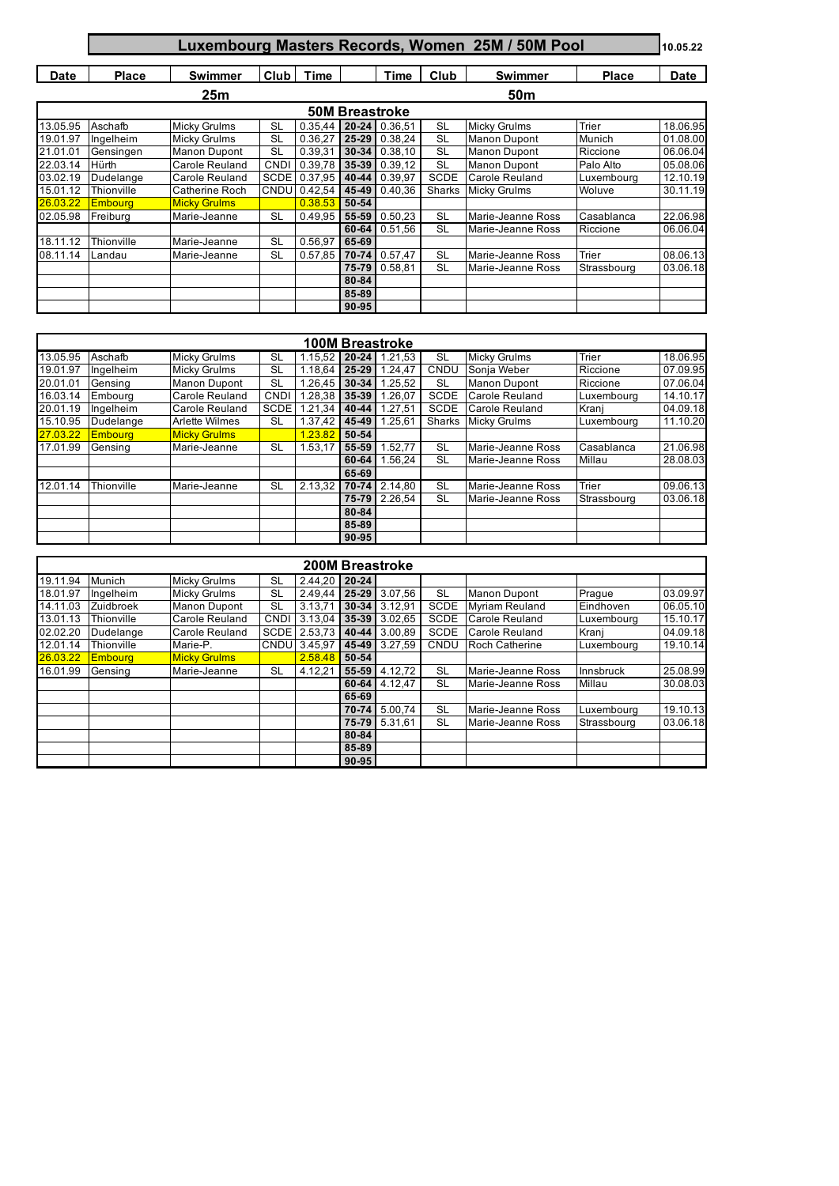#### **10.05.22 Luxembourg Masters Records, Women 25M / 50M Pool**

| <b>Date</b> | <b>Place</b> | Swimmer | Club | ⊺ime | <b>The Contract of Contract Contract of Contract Contract Contract of Contract Contract Contract Contract Contract Contract Contract Contract Contract Contract Contract Contract Contract Contract Contract Contract Contract C</b><br>. ime | Club | -<br>swimmer | Place | Date |
|-------------|--------------|---------|------|------|-----------------------------------------------------------------------------------------------------------------------------------------------------------------------------------------------------------------------------------------------|------|--------------|-------|------|
|             |              | $\sim$  |      |      |                                                                                                                                                                                                                                               |      | --           |       |      |

|          |            | 25m                 |             |                    | 50m         |                       |             |                     |             |          |  |  |
|----------|------------|---------------------|-------------|--------------------|-------------|-----------------------|-------------|---------------------|-------------|----------|--|--|
|          |            |                     |             |                    |             | <b>50M Breastroke</b> |             |                     |             |          |  |  |
| 13.05.95 | Aschafb    | <b>Micky Grulms</b> | <b>SL</b>   | $0.35.44$ 20-24    |             | 0.36.51               | SL          | <b>Micky Grulms</b> | Trier       | 18.06.95 |  |  |
| 19.01.97 | Ingelheim  | <b>Micky Grulms</b> | <b>SL</b>   | $0.36.27$ 25-29    |             | 0.38.24               | SL          | <b>Manon Dupont</b> | Munich      | 01.08.00 |  |  |
| 21.01.01 | Gensingen  | <b>Manon Dupont</b> | <b>SL</b>   | 0.39.31            | $30-34$     | 0.38.10               | SL          | <b>Manon Dupont</b> | Riccione    | 06.06.04 |  |  |
| 22.03.14 | Hürth      | Carole Reuland      | <b>CNDI</b> | $0.39.78$ 35-39    |             | 0.39.12               | SL          | <b>Manon Dupont</b> | Palo Alto   | 05.08.06 |  |  |
| 03.02.19 | Dudelange  | Carole Reuland      |             | SCDE 0.37.95 40-44 |             | 0.39,97               | <b>SCDE</b> | Carole Reuland      | Luxembourg  | 12.10.19 |  |  |
| 15.01.12 | Thionville | Catherine Roch      |             | CNDU 0.42.54       | $45 - 49$   | 0.40.36               | Sharks      | <b>Micky Grulms</b> | Woluve      | 30.11.19 |  |  |
| 26.03.22 | Emboura    | <b>Micky Grulms</b> |             | 0.38.53            | $50 - 54$   |                       |             |                     |             |          |  |  |
| 02.05.98 | Freiburg   | Marie-Jeanne        | <b>SL</b>   | 0.49.95            | 55-59       | 0.50,23               | SL          | Marie-Jeanne Ross   | Casablanca  | 22.06.98 |  |  |
|          |            |                     |             |                    | $60 - 64$   | 0.51.56               | SL          | Marie-Jeanne Ross   | Riccione    | 06.06.04 |  |  |
| 18.11.12 | Thionville | Marie-Jeanne        | <b>SL</b>   | 0.56.97            | 65-69       |                       |             |                     |             |          |  |  |
| 08.11.14 | Landau     | Marie-Jeanne        | <b>SL</b>   | 0.57.85            | 70-74       | 0.57.47               | <b>SL</b>   | Marie-Jeanne Ross   | Trier       | 08.06.13 |  |  |
|          |            |                     |             |                    | 75-79       | 0.58.81               | SL          | Marie-Jeanne Ross   | Strassbourg | 03.06.18 |  |  |
|          |            |                     |             |                    | 80-84       |                       |             |                     |             |          |  |  |
|          |            |                     |             |                    | 85-89       |                       |             |                     |             |          |  |  |
|          |            |                     |             |                    | $ 90 - 95 $ |                       |             |                     |             |          |  |  |

|          | <b>100M Breastroke</b> |                     |             |                         |                |         |             |                       |             |          |  |  |  |  |
|----------|------------------------|---------------------|-------------|-------------------------|----------------|---------|-------------|-----------------------|-------------|----------|--|--|--|--|
| 13.05.95 | Aschafb                | <b>Micky Grulms</b> | <b>SL</b>   | 1.15.52 20-24           |                | 1.21.53 | <b>SL</b>   | <b>Micky Grulms</b>   | Trier       | 18.06.95 |  |  |  |  |
| 19.01.97 | Ingelheim              | <b>Micky Grulms</b> | <b>SL</b>   | 1.18.64 25-29           |                | 1.24.47 | CNDU        | Sonia Weber           | Riccione    | 07.09.95 |  |  |  |  |
| 20.01.01 | Gensina                | Manon Dupont        | <b>SL</b>   |                         | $.26.45$ 30-34 | 1.25.52 | SL          | <b>Manon Dupont</b>   | Riccione    | 07.06.04 |  |  |  |  |
| 16.03.14 | Embourg                | Carole Reuland      | <b>CND</b>  |                         | 28.38 35-39    | 1.26.07 | <b>SCDE</b> | <b>Carole Reuland</b> | Luxembourg  | 14.10.17 |  |  |  |  |
| 20.01.19 | Ingelheim              | Carole Reuland      | <b>SCDE</b> | .21.34                  | 40-44          | 1.27.51 | <b>SCDE</b> | Carole Reuland        | Kranj       | 04.09.18 |  |  |  |  |
| 15.10.95 | Dudelange              | Arlette Wilmes      | <b>SL</b>   | 1.37.42                 | 45-49          | 1.25.61 | Sharks      | <b>Micky Grulms</b>   | Luxemboura  | 11.10.20 |  |  |  |  |
| 27.03.22 | <b>Embourg</b>         | <b>Micky Grulms</b> |             | .23.82                  | $50 - 54$      |         |             |                       |             |          |  |  |  |  |
| 17.01.99 | Gensing                | Marie-Jeanne        | <b>SL</b>   | $.53.17$ $\blacksquare$ | 55-59          | 1.52.77 | SL          | Marie-Jeanne Ross     | Casablanca  | 21.06.98 |  |  |  |  |
|          |                        |                     |             |                         | 60-64          | 1.56.24 | <b>SL</b>   | Marie-Jeanne Ross     | Millau      | 28.08.03 |  |  |  |  |
|          |                        |                     |             |                         | 65-69          |         |             |                       |             |          |  |  |  |  |
| 12.01.14 | Thionville             | Marie-Jeanne        | <b>SL</b>   | 2.13.32                 | 70-74          | 2.14,80 | SL          | Marie-Jeanne Ross     | Trier       | 09.06.13 |  |  |  |  |
|          |                        |                     |             |                         | 75-79          | 2.26.54 | <b>SL</b>   | Marie-Jeanne Ross     | Strassbourg | 03.06.18 |  |  |  |  |
|          |                        |                     |             |                         | 80-84          |         |             |                       |             |          |  |  |  |  |
|          |                        |                     |             |                         | 85-89          |         |             |                       |             |          |  |  |  |  |
|          |                        |                     |             |                         | 90-95          |         |             |                       |             |          |  |  |  |  |

|          | <b>200M Breastroke</b> |                     |             |         |           |               |             |                       |             |          |  |  |  |
|----------|------------------------|---------------------|-------------|---------|-----------|---------------|-------------|-----------------------|-------------|----------|--|--|--|
| 19.11.94 | Munich                 | <b>Micky Grulms</b> | <b>SL</b>   | 2.44.20 | $20 - 24$ |               |             |                       |             |          |  |  |  |
| 18.01.97 | Ingelheim              | <b>Micky Grulms</b> | <b>SL</b>   | 2.49.44 | $25 - 29$ | 3.07.56       | <b>SL</b>   | <b>Manon Dupont</b>   | Prague      | 03.09.97 |  |  |  |
| 14.11.03 | Zuidbroek              | <b>Manon Dupont</b> | <b>SL</b>   | 3.13.71 |           | 30-34 3.12.91 | <b>SCDE</b> | <b>Myriam Reuland</b> | Eindhoven   | 06.05.10 |  |  |  |
| 13.01.13 | Thionville             | Carole Reuland      | <b>CND</b>  | 3.13.04 | $35 - 39$ | 3.02.65       | <b>SCDE</b> | Carole Reuland        | Luxembourg  | 15.10.17 |  |  |  |
| 02.02.20 | Dudelange              | Carole Reuland      | <b>SCDE</b> | 2.53.73 | $40 - 44$ | 3.00.89       | <b>SCDE</b> | Carole Reuland        | Kranj       | 04.09.18 |  |  |  |
| 12.01.14 | Thionville             | Marie-P.            | <b>CNDU</b> | 3.45.97 | $45 - 49$ | 3.27.59       | CNDU        | <b>Roch Catherine</b> | Luxembourg  | 19.10.14 |  |  |  |
| 26.03.22 | <b>Embourg</b>         | <b>Micky Grulms</b> |             | 2.58.48 | $50 - 54$ |               |             |                       |             |          |  |  |  |
| 16.01.99 | Gensing                | Marie-Jeanne        | <b>SL</b>   | 4.12.21 | $55 - 59$ | 4.12.72       | <b>SL</b>   | Marie-Jeanne Ross     | Innsbruck   | 25.08.99 |  |  |  |
|          |                        |                     |             |         | $60 - 64$ | 4.12.47       | <b>SL</b>   | Marie-Jeanne Ross     | Millau      | 30.08.03 |  |  |  |
|          |                        |                     |             |         | $65 - 69$ |               |             |                       |             |          |  |  |  |
|          |                        |                     |             |         | $70 - 74$ | 5.00.74       | SL          | Marie-Jeanne Ross     | Luxembourg  | 19.10.13 |  |  |  |
|          |                        |                     |             |         |           | 75-79 5.31.61 | <b>SL</b>   | Marie-Jeanne Ross     | Strassbourg | 03.06.18 |  |  |  |
|          |                        |                     |             |         | $80 - 84$ |               |             |                       |             |          |  |  |  |
|          |                        |                     |             |         | 85-89     |               |             |                       |             |          |  |  |  |
|          |                        |                     |             |         | $90 - 95$ |               |             |                       |             |          |  |  |  |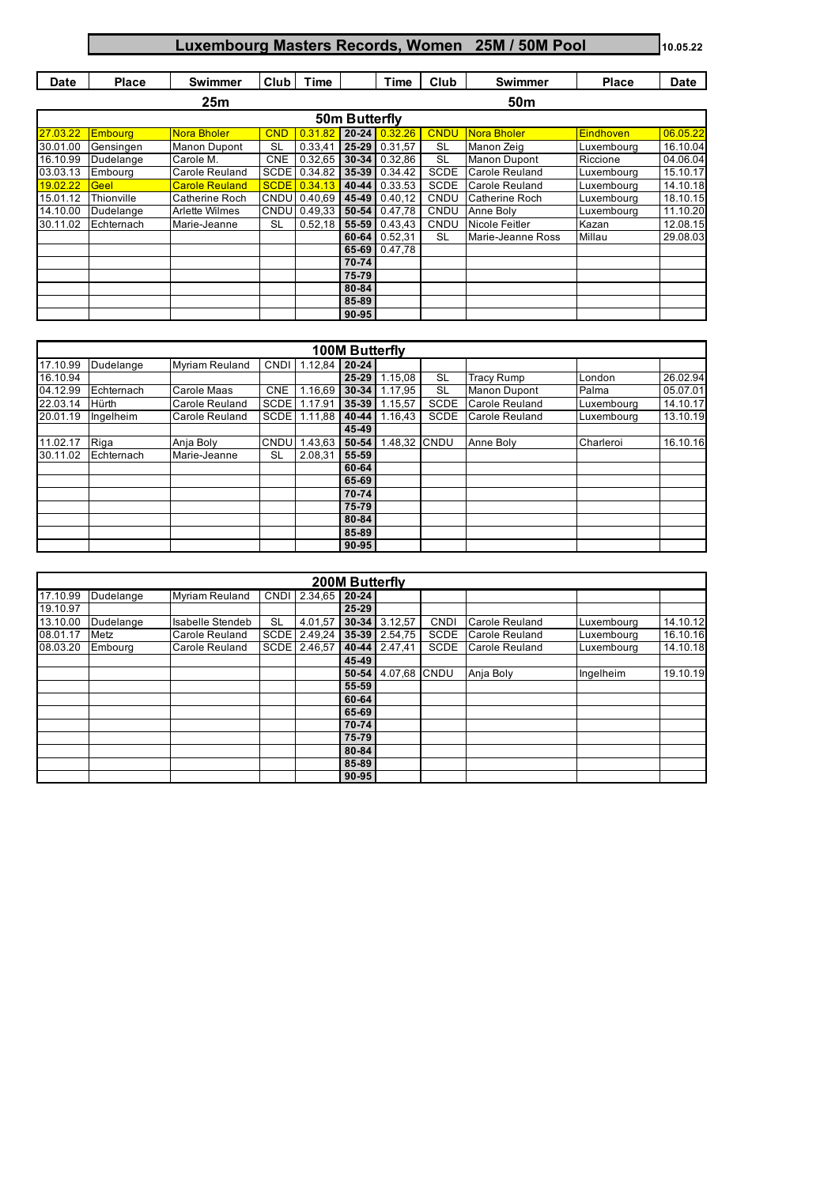## **Luxembourg Masters Records, Women 25M / 50M Pool**

| <b>Date</b> | <b>Place</b> | Swimmer   | Club | $- \cdot$<br>îme | $- -$<br>⊺ime | Club | Swimmer   | <b>Place</b> | <b>Date</b> |
|-------------|--------------|-----------|------|------------------|---------------|------|-----------|--------------|-------------|
|             |              | <b>AF</b> |      |                  |               |      | <b>FA</b> |              |             |

|          |            | 25 <sub>m</sub>       |             |              | 50 <sub>m</sub> |                         |             |                       |            |          |  |  |
|----------|------------|-----------------------|-------------|--------------|-----------------|-------------------------|-------------|-----------------------|------------|----------|--|--|
|          |            |                       |             |              | 50m Butterfly   |                         |             |                       |            |          |  |  |
| 27.03.22 | Embourg    | Nora Bholer           | <b>CND</b>  | 0.31.82      |                 | $20 - 24$ 0.32.26       | <b>CNDU</b> | Nora Bholer           | Eindhoven  | 06.05.22 |  |  |
| 30.01.00 | Gensingen  | <b>Manon Dupont</b>   | <b>SL</b>   | 0.33.41      |                 | 25-29 0.31.57           | SL          | Manon Zeig            | Luxembourg | 16.10.04 |  |  |
| 16.10.99 | Dudelange  | Carole M.             | <b>CNE</b>  |              |                 | $0.32.65$ 30-34 0.32.86 | <b>SL</b>   | <b>Manon Dupont</b>   | Riccione   | 04.06.04 |  |  |
| 03.03.13 | Embourg    | Carole Reuland        | <b>SCDE</b> | 0.34.82      |                 | 35-39 0.34.42           | <b>SCDE</b> | <b>Carole Reuland</b> | Luxembourg | 15.10.17 |  |  |
| 19.02.22 | Geel       | <b>Carole Reuland</b> |             | SCDE 0.34.13 |                 | 40-44 0.33.53           | <b>SCDE</b> | Carole Reuland        | Luxembourg | 14.10.18 |  |  |
| 15.01.12 | Thionville | Catherine Roch        |             | CNDU 0.40.69 |                 | 45-49 0.40,12           | CNDU        | <b>Catherine Roch</b> | Luxembourg | 18.10.15 |  |  |
| 14.10.00 | Dudelange  | <b>Arlette Wilmes</b> | CNDU        | 0.49.33      | 50-54           | 0.47.78                 | CNDU        | Anne Bolv             | Luxembourg | 11.10.20 |  |  |
| 30.11.02 | Echternach | Marie-Jeanne          | SL          | 0.52.18      |                 | $55-59$ 0.43.43         | <b>CNDU</b> | Nicole Feitler        | Kazan      | 12.08.15 |  |  |
|          |            |                       |             |              |                 | 60-64 0.52.31           | SL          | Marie-Jeanne Ross     | Millau     | 29.08.03 |  |  |
|          |            |                       |             |              |                 | 65-69 0.47.78           |             |                       |            |          |  |  |
|          |            |                       |             |              | 70-74           |                         |             |                       |            |          |  |  |
|          |            |                       |             |              | 75-79           |                         |             |                       |            |          |  |  |
|          |            |                       |             |              | $80 - 84$       |                         |             |                       |            |          |  |  |
|          |            |                       |             |              | 85-89           |                         |             |                       |            |          |  |  |
|          |            |                       |             |              | $90 - 95$       |                         |             |                       |            |          |  |  |

|          | <b>100M Butterfly</b> |                       |             |         |           |         |             |                       |            |          |  |  |  |  |
|----------|-----------------------|-----------------------|-------------|---------|-----------|---------|-------------|-----------------------|------------|----------|--|--|--|--|
| 17.10.99 | Dudelange             | <b>Myriam Reuland</b> | <b>CNDI</b> | 1.12.84 | $20 - 24$ |         |             |                       |            |          |  |  |  |  |
| 16.10.94 |                       |                       |             |         | $25 - 29$ | 1.15,08 | SL          | <b>Tracy Rump</b>     | London     | 26.02.94 |  |  |  |  |
| 04.12.99 | Echternach            | Carole Maas           | <b>CNE</b>  | 1.16.69 | $30 - 34$ | 1.17.95 | SL          | <b>Manon Dupont</b>   | Palma      | 05.07.01 |  |  |  |  |
| 22.03.14 | Hürth                 | Carole Reuland        | <b>SCDE</b> | 1.17.91 | 35-39     | 1.15.57 | <b>SCDE</b> | <b>Carole Reuland</b> | Luxembourg | 14.10.17 |  |  |  |  |
| 20.01.19 | Ingelheim             | Carole Reuland        | <b>SCDE</b> | 1.11.88 | 40-44     | 1.16.43 | <b>SCDE</b> | <b>Carole Reuland</b> | Luxembourg | 13.10.19 |  |  |  |  |
|          |                       |                       |             |         | 45-49     |         |             |                       |            |          |  |  |  |  |
| 11.02.17 | Riga                  | Anja Boly             | CNDU        | 1.43,63 | 50-54     | 1.48.32 | <b>CNDU</b> | Anne Bolv             | Charleroi  | 16.10.16 |  |  |  |  |
| 30.11.02 | Echternach            | Marie-Jeanne          | <b>SL</b>   | 2.08.31 | 55-59     |         |             |                       |            |          |  |  |  |  |
|          |                       |                       |             |         | $60 - 64$ |         |             |                       |            |          |  |  |  |  |
|          |                       |                       |             |         | 65-69     |         |             |                       |            |          |  |  |  |  |
|          |                       |                       |             |         | 70-74     |         |             |                       |            |          |  |  |  |  |
|          |                       |                       |             |         | 75-79     |         |             |                       |            |          |  |  |  |  |
|          |                       |                       |             |         | 80-84     |         |             |                       |            |          |  |  |  |  |
|          |                       |                       |             |         | 85-89     |         |             |                       |            |          |  |  |  |  |
|          |                       |                       |             |         | $90 - 95$ |         |             |                       |            |          |  |  |  |  |

|          | 200M Butterfly |                         |             |                           |           |               |             |                       |            |          |  |  |  |  |
|----------|----------------|-------------------------|-------------|---------------------------|-----------|---------------|-------------|-----------------------|------------|----------|--|--|--|--|
| 17.10.99 | Dudelange      | <b>Myriam Reuland</b>   | CNDI        | 2.34,65 20-24             |           |               |             |                       |            |          |  |  |  |  |
| 19.10.97 |                |                         |             |                           | $25 - 29$ |               |             |                       |            |          |  |  |  |  |
| 13.10.00 | Dudelange      | <b>Isabelle Stendeb</b> | <b>SL</b>   | 4.01,57                   |           | 30-34 3.12,57 | <b>CNDI</b> | <b>Carole Reuland</b> | Luxembourg | 14.10.12 |  |  |  |  |
| 08.01.17 | Metz           | Carole Reuland          | <b>SCDE</b> | 2.49,24                   |           | 35-39 2.54,75 | <b>SCDE</b> | <b>Carole Reuland</b> | Luxembourg | 16.10.16 |  |  |  |  |
| 08.03.20 | Embourg        | Carole Reuland          | <b>SCDE</b> | 2.46.57   40-44   2.47.41 |           |               | <b>SCDE</b> | <b>Carole Reuland</b> | Luxembourg | 14.10.18 |  |  |  |  |
|          |                |                         |             |                           | 45-49     |               |             |                       |            |          |  |  |  |  |
|          |                |                         |             |                           | $50 - 54$ | 4.07.68       | CNDU        | Anja Boly             | Ingelheim  | 19.10.19 |  |  |  |  |
|          |                |                         |             |                           | 55-59     |               |             |                       |            |          |  |  |  |  |
|          |                |                         |             |                           | 60-64     |               |             |                       |            |          |  |  |  |  |
|          |                |                         |             |                           | 65-69     |               |             |                       |            |          |  |  |  |  |
|          |                |                         |             |                           | 70-74     |               |             |                       |            |          |  |  |  |  |
|          |                |                         |             |                           | 75-79     |               |             |                       |            |          |  |  |  |  |
|          |                |                         |             |                           | $80 - 84$ |               |             |                       |            |          |  |  |  |  |
|          |                |                         |             |                           | 85-89     |               |             |                       |            |          |  |  |  |  |
|          |                |                         |             |                           | $90 - 95$ |               |             |                       |            |          |  |  |  |  |